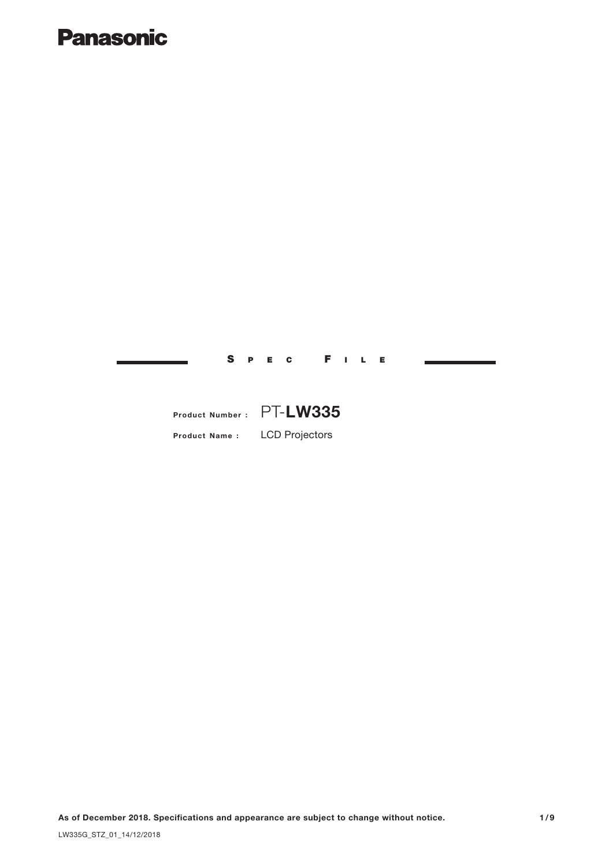# **Panasonic**

S P E C F I L E

# Product Number : PT-LW335

Product Name : LCD Projectors

As of December 2018. Specifications and appearance are subject to change without notice. 1/9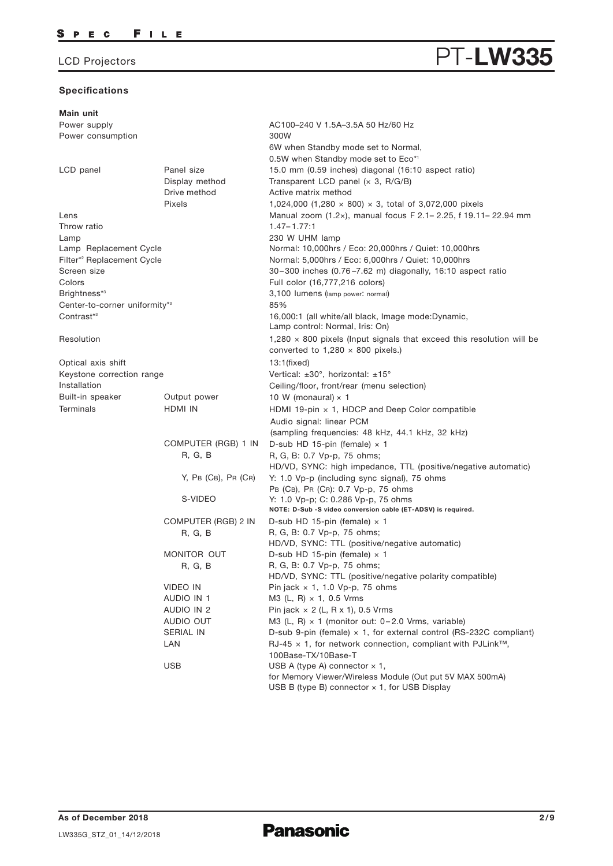#### Specifications

#### Main unit Power supply Power consumption LCD panel **Panel size** Display method Pixels Lens Lamp AC100–240 V 1.5A–3.5A 50 Hz/60 Hz 300W 6W when Standby mode set to Normal, 0.5W when Standby mode set to Eco\* 1 15.0 mm (0.59 inches) diagonal (16:10 aspect ratio) Throw ratio 1.47– 1.77:1 Transparent LCD panel  $(x 3, R/G/B)$ Drive method Active matrix method 1,024,000 (1,280 × 800) × 3, total of 3,072,000 pixels Manual zoom (1.2×), manual focus F 2.1– 2.25, f 19.11– 22.94 mm 230 W UHM lamp Screen size Colors Brightness\* 3 Center-to-corner uniformity\* 3 Contrast<sup>\*3</sup> Resolution Optical axis shift Keystone correction range Installation Built-in speaker Output power Terminals HDMI IN COMPUTER (RGB) 1 IN R, G, B Y, PB (CB), PR (CR) 30–300 inches (0.76 –7.62 m) diagonally, 16:10 aspect ratio Full color (16,777,216 colors) 3,100 lumens (lamp power: normal) 85% 16,000:1 (all white/all black, Image mode:Dynamic, Lamp control: Normal, Iris: On) 1,280  $\times$  800 pixels (Input signals that exceed this resolution will be converted to  $1,280 \times 800$  pixels.)  $13:1$ (fixed) Vertical: ±30°, horizontal: ±15° Ceiling/floor, front/rear (menu selection) 10 W (monaural)  $\times$  1 HDMI 19-pin × 1, HDCP and Deep Color compatible Audio signal: linear PCM (sampling frequencies: 48 kHz, 44.1 kHz, 32 kHz) D-sub HD 15-pin (female)  $\times$  1 R, G, B: 0.7 Vp-p, 75 ohms; HD/VD, SYNC: high impedance, TTL (positive/negative automatic) Y: 1.0 Vp-p (including sync signal), 75 ohms S-VIDEO Y: 1.0 Vp-p; C: 0.286 Vp-p, 75 ohms PB (CB), PR (CR): 0.7 Vp-p, 75 ohms NOTE: D-Sub -S video conversion cable (ET-ADSV) is required. VIDEO IN AUDIO IN 1 AUDIO IN 2 AUDIO OUT SERIAL IN LAN Pin jack  $\times$  1, 1.0 Vp-p, 75 ohms M3 (L, R) × 1, 0.5 Vrms Pin jack  $\times$  2 (L, R  $\times$  1), 0.5 Vrms M3 (L, R)  $\times$  1 (monitor out: 0-2.0 Vrms, variable) D-sub 9-pin (female)  $\times$  1, for external control (RS-232C compliant) USB  $USB$  A (type A) connector  $\times$  1, for Memory Viewer/Wireless Module (Out put 5V MAX 500mA) USB B (type B) connector x 1, for USB Display RJ-45  $\times$  1, for network connection, compliant with PJLink<sup>™</sup>, 100Base-TX/10Base-T COMPUTER (RGB) 2 IN R, G, B D-sub HD 15-pin (female)  $\times$  1 R, G, B: 0.7 Vp-p, 75 ohms; HD/VD, SYNC: TTL (positive/negative automatic) MONITOR OUT R, G, B D-sub HD 15-pin (female)  $\times$  1 R, G, B: 0.7 Vp-p, 75 ohms; HD/VD, SYNC: TTL (positive/negative polarity compatible) Lamp Replacement Cycle  $\blacksquare$  Normal: 10,000hrs / Eco: 20,000hrs / Quiet: 10,000hrs Filter\*<sup>2</sup> Replacement Cycle **Normal: 5,000hrs / Eco: 6,000hrs / Quiet: 10,000hrs**

PT-LW3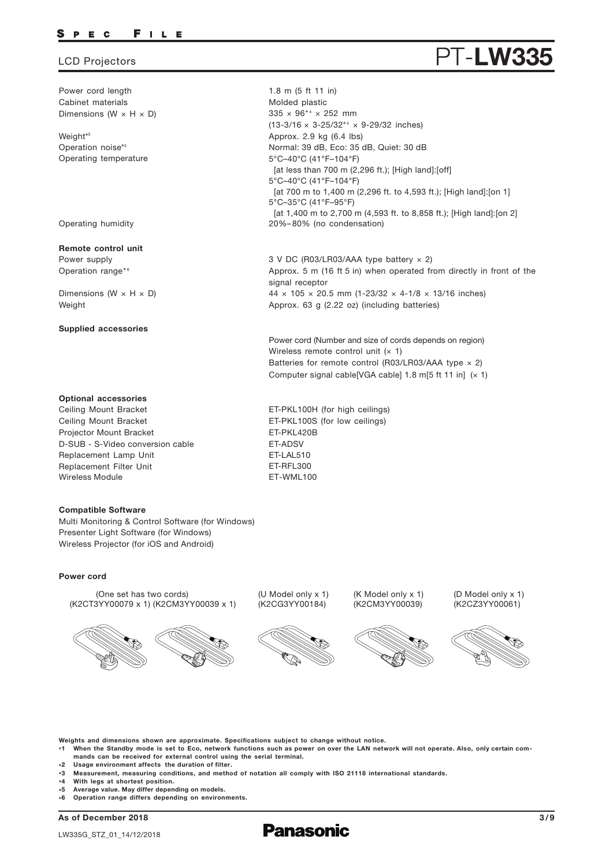#### FILE P E C

### LCD Projectors

Power cord length Cabinet materials Dimensions (W  $\times$  H  $\times$  D)

Weight\* 5 Operation noise\*3 Operating temperature

Operating humidity

#### Remote control unit

Power supply Operation range\*6

Dimensions ( $W \times H \times D$ ) Weight

#### Supplied accessories

#### Optional accessories

Replacement Lamp Unit Replacement Filter Unit Ceiling Mount Bracket Ceiling Mount Bracket Projector Mount Bracket Wireless Module **ET-WML100** D-SUB - S-Video conversion cable FT-ADSV

#### Compatible Software

Multi Monitoring & Control Software (for Windows) Presenter Light Software (for Windows) Wireless Projector (for iOS and Android)

#### Power cord

(One set has two cords) (K2CT3YY00079 x 1) (K2CM3YY00039 x 1)



(U Model only x 1) (K2CG3YY00184)



(K Model only x 1) (K2CM3YY00039)





Weights and dimensions shown are approximate. Specifications subject to change without notice.

- \*1 When the Standby mode is set to Eco, network functions such as power on over the LAN network will not operate. Also, only certain commands can be received for external control using the serial terminal.
- \*2 Usage environment affects the duration of filter.
- \*3 Measurement, measuring conditions, and method of notation all comply with ISO 21118 international standards.
- $*4$ With legs at shortest position.
- \* Average value. May differ depending on models.
- $\overline{\phantom{a}}$ Operation range differs depending on environments.

As of December 2018





 $335 \times 96^{*4} \times 252$  mm  $(13-3/16 \times 3-25/32^{*4} \times 9-29/32$  inches) Approx. 2.9 kg (6.4 lbs) 5°C–40°C (41°F–104°F) [at less than 700 m (2,296 ft.); [High land]: [off] 5°C–40°C (41°F–104°F) [at 700 m to 1,400 m (2,296 ft. to 4,593 ft.); [High land]: [on 1] 5°C–35°C (41°F–95°F) [at 1,400 m to 2,700 m (4,593 ft. to 8,858 ft.); [High land]:[on 2] 20%–80% (no condensation) Normal: 39 dB, Eco: 35 dB, Quiet: 30 dB

3 V DC (R03/LR03/AAA type battery × 2) Approx. 5 m (16 ft 5 in) when operated from directly in front of the signal receptor  $44 \times 105 \times 20.5$  mm (1-23/32  $\times$  4-1/8  $\times$  13/16 inches) Approx. 63 g (2.22 oz) (including batteries)

Power cord (Number and size of cords depends on region) Wireless remote control unit  $(x 1)$ Batteries for remote control (R03/LR03/AAA type  $\times$  2) Computer signal cable[VGA cable]  $1.8$  m[5 ft  $11$  in]  $(x 1)$ 

ET-LAL510 ET-RFL300 ET-PKL100H (for high ceilings) ET-PKL100S (for low ceilings) ET-PKL420B

1.8 m (5 ft 11 in) Molded plastic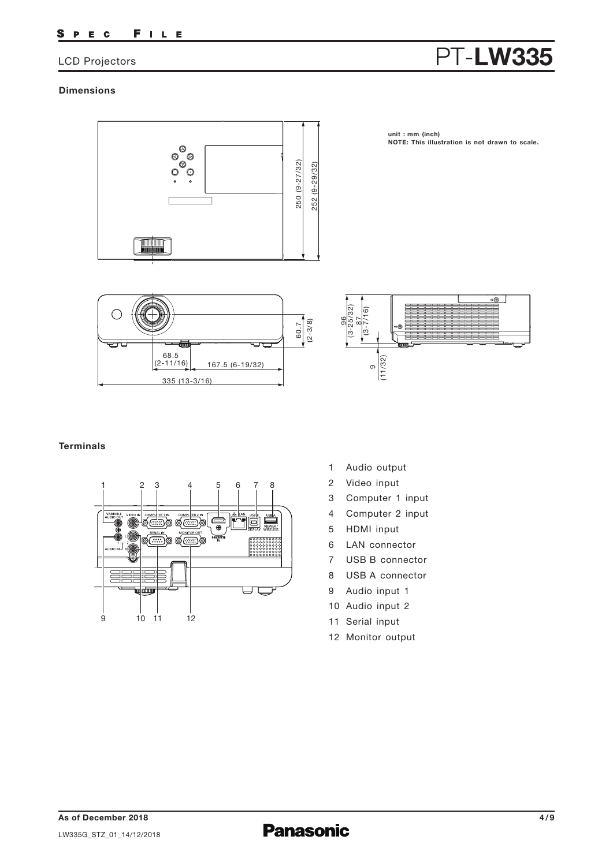#### FILE S P E C

## LCD Projectors

# PT-LW335

### **Dimensions**



**unit : mm (inch) NOTE: This illustration is not drawn to scale.**





## **Terminals**



- 1 Audio output
- 2 Video input
- 3 Computer 1 input
- 4 Computer 2 input
- 5 HDMI input
- 6 LAN connector
- 7 USB B connector
- 8 USB A connector
- 9 Audio input 1
- 10 Audio input 2
- 11 Serial input
- 12 Monitor output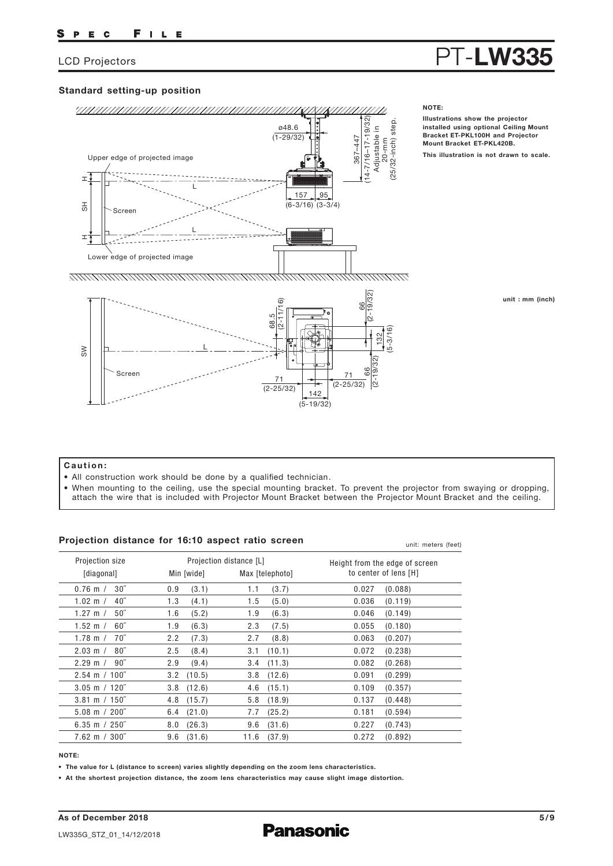# PT-LW33

## Standard setting-up position



#### unit : mm (inch)

#### Caution:

- All construction work should be done by a qualified technician.
- When mounting to the ceiling, use the special mounting bracket. To prevent the projector from swaying or dropping,

#### Projection distance for 16:10 aspect ratio screen

| Projection distance for To: TV aspect ratio screen |                |                         | unit: meters (feet)            |  |  |
|----------------------------------------------------|----------------|-------------------------|--------------------------------|--|--|
| Projection size                                    |                | Projection distance [L] | Height from the edge of screen |  |  |
| [diagonal]                                         | Min [wide]     | Max [telephoto]         | to center of lens [H]          |  |  |
| 30 <sup>''</sup>                                   | 0.9            | (3.7)                   | (0.088)                        |  |  |
| $0.76$ m $/$                                       | (3.1)          | 1.1                     | 0.027                          |  |  |
| 1.02 m $/$                                         | 1.3            | 1.5                     | 0.036                          |  |  |
| 40″                                                | (4.1)          | (5.0)                   | (0.119)                        |  |  |
| $50^{\circ}$                                       | 1.6            | 1.9                     | 0.046                          |  |  |
| 1.27 m $/$                                         | (5.2)          | (6.3)                   | (0.149)                        |  |  |
| $60^{\circ}$                                       | 1.9            | 2.3                     | 0.055                          |  |  |
| 1.52 m $/$                                         | (6.3)          | (7.5)                   | (0.180)                        |  |  |
| $70^{\circ}$                                       | 2.2            | (8.8)                   | 0.063                          |  |  |
| 1.78 m $/$                                         | (7.3)          | 2.7                     | (0.207)                        |  |  |
| $80^{\prime\prime}$                                | (8.4)          | (10.1)                  | (0.238)                        |  |  |
| $2.03 \text{ m}$ /                                 | 2.5            | 3.1                     | 0.072                          |  |  |
| $2.29 \text{ m} / 90$ "                            | 2.9            | (11.3)                  | 0.082                          |  |  |
|                                                    | (9.4)          | 3.4                     | (0.268)                        |  |  |
| $2.54 \text{ m} / 100^{\degree}$                   | $3.2$ $(10.5)$ | (12.6)<br>3.8           | 0.091<br>(0.299)               |  |  |
| $3.05 \text{ m} / 120$ "                           | $3.8$ $(12.6)$ | (15.1)<br>4.6           | 0.109<br>(0.357)               |  |  |
| $3.81 \text{ m} / 150$ "                           | $4.8$ $(15.7)$ | (18.9)<br>5.8           | 0.137<br>(0.448)               |  |  |
| $5.08 \text{ m} / 200$ "                           | $6.4$ $(21.0)$ | (25.2)<br>7.7           | 0.181<br>(0.594)               |  |  |
| 6.35 m $/250$ "                                    | (26.3)         | (31.6)                  | 0.227                          |  |  |
|                                                    | 8.0            | 9.6                     | (0.743)                        |  |  |
| $7.62 \, \text{m}$ / $300^{\degree}$               | 9.6            | 11.6                    | 0.272                          |  |  |
|                                                    | (31.6)         | (37.9)                  | (0.892)                        |  |  |

#### NOTE:

• The value for L (distance to screen) varies slightly depending on the zoom lens characteristics.

• At the shortest projection distance, the zoom lens characteristics may cause slight image distortion.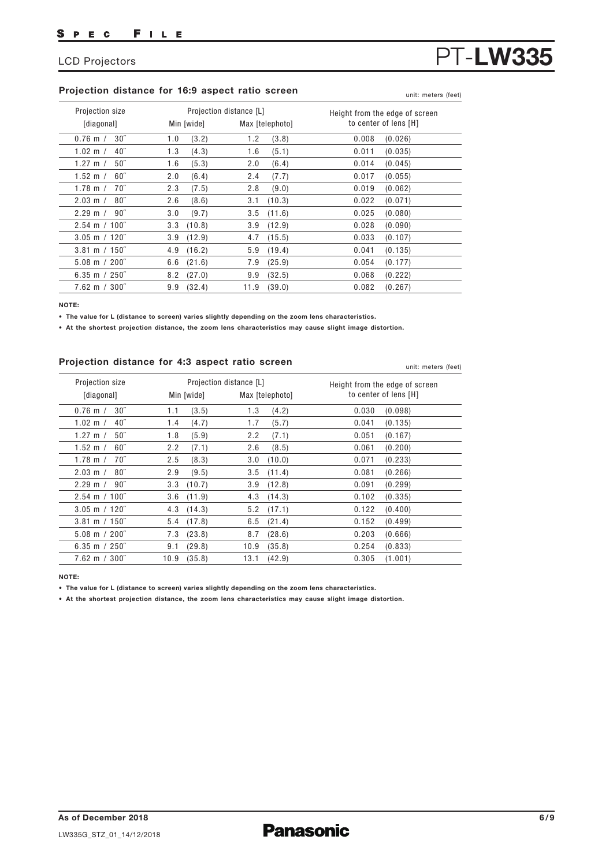#### Projection distance for 16:9 aspect ratio screen

| Projection size          | Projection distance [L] | Max [telephoto] | Height from the edge of screen |
|--------------------------|-------------------------|-----------------|--------------------------------|
| [diagonal]               | Min [wide]              |                 | to center of lens [H]          |
| 30''                     | (3.2)                   | 1.2             | 0.008                          |
| $0.76$ m $/$             | 1.0                     | (3.8)           | (0.026)                        |
| 40 <sup>''</sup>         | (4.3)                   | 1.6             | 0.011                          |
| $1.02 \, \text{m}$ /     | 1.3                     | (5.1)           | (0.035)                        |
| 50 <sup>''</sup>         | (5.3)                   | 2.0             | 0.014                          |
| 1.27 m $/$               | 1.6                     | (6.4)           | (0.045)                        |
| 60''                     | (6.4)                   | (7.7)           | 0.017                          |
| 1.52 m $/$               | 2.0                     | 2.4             | (0.055)                        |
| $70^{\prime\prime}$      | 2.3                     | (9.0)           | 0.019                          |
| 1.78 m $/$               | (7.5)                   | 2.8             | (0.062)                        |
| $80^{\circ}$             | (8.6)                   | (10.3)          | 0.022                          |
| $2.03 \; \text{m}$ /     | 2.6                     | 3.1             | (0.071)                        |
| $90^{\circ}$             | 3.0                     | 3.5             | (0.080)                        |
| $2.29 \; \mathrm{m}$ /   | (9.7)                   | (11.6)          | 0.025                          |
| $2.54 \text{ m} / 100$ " | (10.8)                  | (12.9)          | 0.028                          |
|                          | 3.3                     | 3.9             | (0.090)                        |
| $3.05$ m / 120"          | 3.9                     | (15.5)          | 0.033                          |
|                          | (12.9)                  | 4.7             | (0.107)                        |
| $3.81 \text{ m} / 150$ " | 4.9                     | (19.4)          | 0.041                          |
|                          | (16.2)                  | 5.9             | (0.135)                        |
| $5.08 \text{ m} / 200$ " | (21.6)                  | 7.9             | 0.054                          |
|                          | 6.6                     | (25.9)          | (0.177)                        |
| 6.35 m $/250$ "          | (27.0)                  | (32.5)          | 0.068                          |
|                          | 8.2                     | 9.9             | (0.222)                        |
| $7.62 \text{ m} / 300$ " | (32.4)                  | 11.9            | 0.082                          |
|                          | 9.9                     | (39.0)          | (0.267)                        |

NOTE:

• The value for L (distance to screen) varies slightly depending on the zoom lens characteristics.

• At the shortest projection distance, the zoom lens characteristics may cause slight image distortion.

#### Projection distance for 4:3 aspect ratio screen

0.76 m / 1.02 m / 1.27 m / 1.52 m / 1.78 m / 2.03 m / 2.29 m / 2.54 m 100˝ / 3.05 m 120˝ / 3.81 m 150˝ / 5.08 m 200˝ / 6.35 m 250˝ / 7.62 m 300˝ / 1.1 1.4 1.8 2.2 2.5  $2.9$ 3.3 3.6 4.3 5.4 7.3 9.1 10.9 1.3 1.7 2.2 2.6 3.0 3.5 3.9 4.3 5.2 6.5 8.7 10.9 13.1 0.030 0.041 0.051 0.061 0.071 0.081 0.091 0.102 0.122 0.152 0.203 0.254 0.305  $30<sup>7</sup>$ 40˝ 50˝ 60˝ 70˝ 80˝ 90˝  $(3.5)$ (4.7) (5.9) (7.1) (8.3) (9.5) (10.7) (11.9) (14.3) (17.8) (23.8) (29.8) (35.8) (4.2) (5.7) (7.1) (8.5) (10.0) (11.4) (12.8)  $(14.3)$ (17.1) (21.4) (28.6) (35.8) (42.9) (0.098) (0.135) (0.167) (0.200) (0.233) (0.266) (0.299) (0.335) (0.400) (0.499) (0.666) (0.833) (1.001) Projection size [diagonal] Projection distance [L] Min [wide] Max [telephoto] Height from the edge of screen to center of lens [H]

NOTE:

• The value for L (distance to screen) varies slightly depending on the zoom lens characteristics.

• At the shortest projection distance, the zoom lens characteristics may cause slight image distortion.

PT-LW33

unit: meters (feet)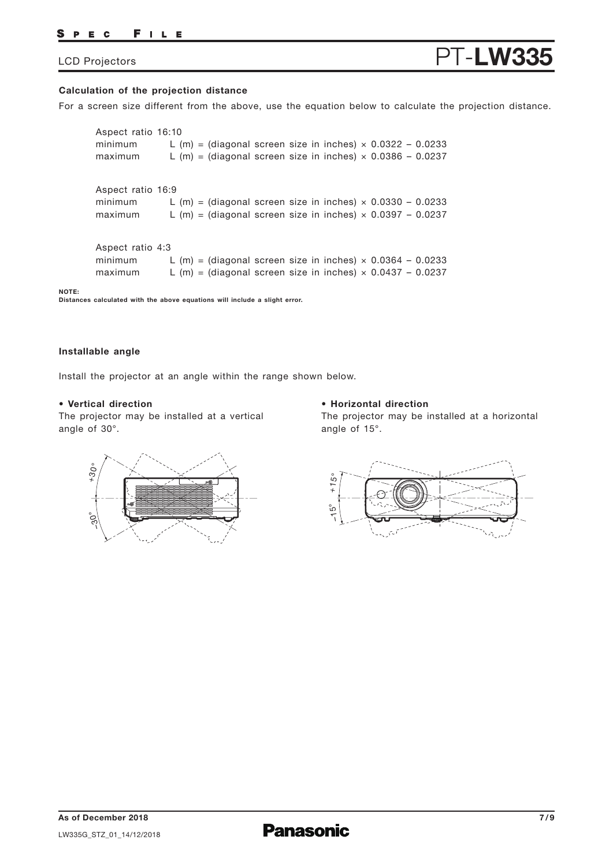#### PEC FILE

## LCD Projectors

# PT-LW3

#### **Calculation of the projection distance**

For a screen size different from the above, use the equation below to calculate the projection distance.

Aspect ratio 16:9 minimum L (m) = (diagonal screen size in inches)  $\times$  0.0330 - 0.0233 maximum L (m) = (diagonal screen size in inches)  $\times$  0.0397 - 0.0237 Aspect ratio 16:10 minimum L (m) = (diagonal screen size in inches)  $\times$  0.0322 - 0.0233 maximum L (m) = (diagonal screen size in inches)  $\times$  0.0386 - 0.0237 Aspect ratio 4:3 minimum L  $(m)$  = (diagonal screen size in inches)  $\times$  0.0364 - 0.0233 maximum L  $(m)$  = (diagonal screen size in inches)  $\times$  0.0437 - 0.0237

**Distances calculated with the above equations will include a slight error.**

#### **Installable angle**

**NOTE:** 

Install the projector at an angle within the range shown below.

#### **• Vertical direction**

The projector may be installed at a vertical angle of 30°.

#### **• Horizontal direction**

The projector may be installed at a horizontal angle of 15°.



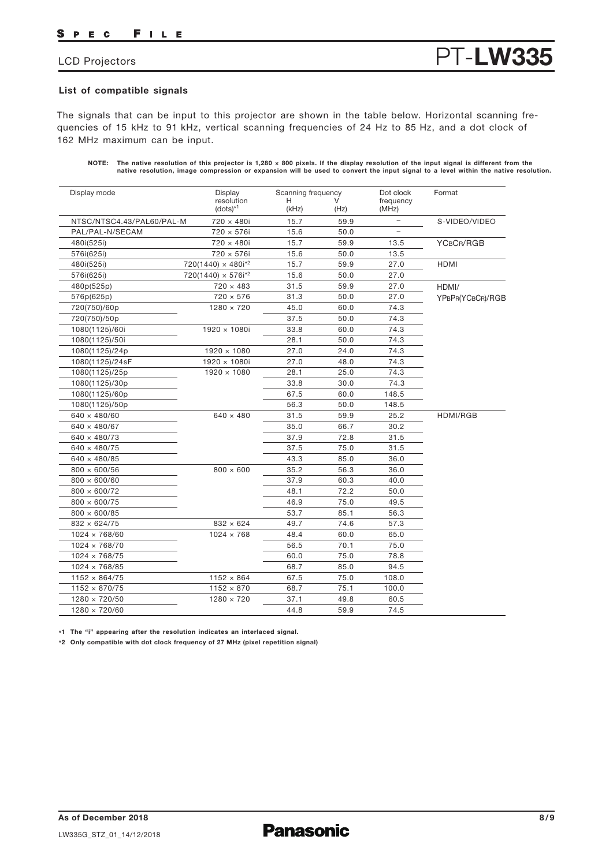#### FILE S P E C

## LCD Projectors

### List of compatible signals

The signals that can be input to this projector are shown in the table below. Horizontal scanning frequencies of 15 kHz to 91 kHz, vertical scanning frequencies of 24 Hz to 85 Hz, and a dot clock of 162 MHz maximum can be input.

| NOTE: The native resolution of this projector is 1,280 $\times$ 800 pixels. If the display resolution of the input signal is different from the |
|-------------------------------------------------------------------------------------------------------------------------------------------------|
| native resolution, image compression or expansion will be used to convert the input signal to a level within the native resolution.             |

PT-LW335

| Display mode              | Display                      | Scanning frequency |      | Dot clock                | Format           |
|---------------------------|------------------------------|--------------------|------|--------------------------|------------------|
|                           | resolution<br>$(dots)^{*1}$  | н<br>(kHz)         | (Hz) | frequency<br>(MHz)       |                  |
| NTSC/NTSC4.43/PAL60/PAL-M | 720 × 480i                   | 15.7               | 59.9 | $\overline{\phantom{0}}$ | S-VIDEO/VIDEO    |
| PAL/PAL-N/SECAM           | 720 × 576i                   | 15.6               | 50.0 | $\overline{\phantom{0}}$ |                  |
| 480i(525i)                | 720 × 480i                   | 15.7               | 59.9 | 13.5                     | YCBCR/RGB        |
| 576i(625i)                | 720 × 576i                   | 15.6               | 50.0 | 13.5                     |                  |
| 480i(525i)                | $720(1440) \times 480i^{2}$  | 15.7               | 59.9 | 27.0                     | <b>HDMI</b>      |
| 576i(625i)                | $720(1440) \times 576i^{*2}$ | 15.6               | 50.0 | 27.0                     |                  |
| 480p(525p)                | $720 \times 483$             | 31.5               | 59.9 | 27.0                     | HDMI/            |
| 576p(625p)                | $720 \times 576$             | 31.3               | 50.0 | 27.0                     | YPBPR(YCBCR)/RGB |
| 720(750)/60p              | $1280 \times 720$            | 45.0               | 60.0 | 74.3                     |                  |
| 720(750)/50p              |                              | 37.5               | 50.0 | 74.3                     |                  |
| 1080(1125)/60i            | $1920 \times 1080i$          | 33.8               | 60.0 | 74.3                     |                  |
| 1080(1125)/50i            |                              | 28.1               | 50.0 | 74.3                     |                  |
| 1080(1125)/24p            | 1920 × 1080                  | 27.0               | 24.0 | 74.3                     |                  |
| 1080(1125)/24sF           | $1920 \times 1080i$          | 27.0               | 48.0 | 74.3                     |                  |
| 1080(1125)/25p            | $1920 \times 1080$           | 28.1               | 25.0 | 74.3                     |                  |
| 1080(1125)/30p            |                              | 33.8               | 30.0 | 74.3                     |                  |
| 1080(1125)/60p            |                              | 67.5               | 60.0 | 148.5                    |                  |
| 1080(1125)/50p            |                              | 56.3               | 50.0 | 148.5                    |                  |
| $640 \times 480/60$       | $640 \times 480$             | 31.5               | 59.9 | 25.2                     | <b>HDMI/RGB</b>  |
| $640 \times 480/67$       |                              | 35.0               | 66.7 | 30.2                     |                  |
| $640 \times 480/73$       |                              | 37.9               | 72.8 | 31.5                     |                  |
| $640 \times 480/75$       |                              | 37.5               | 75.0 | 31.5                     |                  |
| $640 \times 480/85$       |                              | 43.3               | 85.0 | 36.0                     |                  |
| $800 \times 600/56$       | $800 \times 600$             | 35.2               | 56.3 | 36.0                     |                  |
| $800 \times 600/60$       |                              | 37.9               | 60.3 | 40.0                     |                  |
| $800 \times 600/72$       |                              | 48.1               | 72.2 | 50.0                     |                  |
| $800 \times 600/75$       |                              | 46.9               | 75.0 | 49.5                     |                  |
| $800 \times 600/85$       |                              | 53.7               | 85.1 | 56.3                     |                  |
| $832 \times 624/75$       | $832 \times 624$             | 49.7               | 74.6 | 57.3                     |                  |
| $1024 \times 768/60$      | $1024 \times 768$            | 48.4               | 60.0 | 65.0                     |                  |
| $1024 \times 768/70$      |                              | 56.5               | 70.1 | 75.0                     |                  |
| $1024 \times 768/75$      |                              | 60.0               | 75.0 | 78.8                     |                  |
| $1024 \times 768/85$      |                              | 68.7               | 85.0 | 94.5                     |                  |
| $1152 \times 864/75$      | $1152 \times 864$            | 67.5               | 75.0 | 108.0                    |                  |
| $1152 \times 870/75$      | $1152 \times 870$            | 68.7               | 75.1 | 100.0                    |                  |
| $1280 \times 720/50$      | $1280 \times 720$            | 37.1               | 49.8 | 60.5                     |                  |
| $1280 \times 720/60$      |                              | 44.8               | 59.9 | 74.5                     |                  |

\*1 The "i" appearing after the resolution indicates an interlaced signal.

\*2 Only compatible with dot clock frequency of 27 MHz (pixel repetition signal)